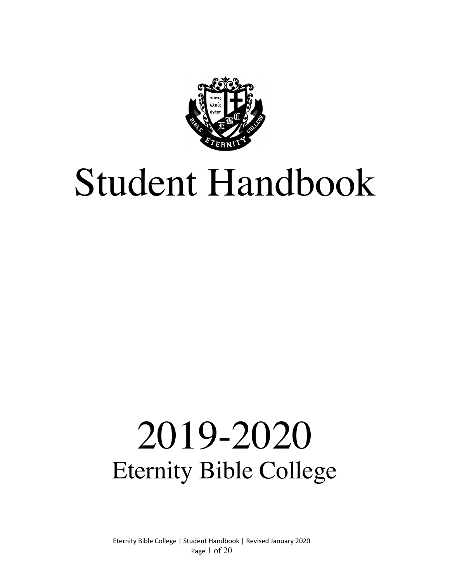

# Student Handbook

# 2019-2020 Eternity Bible College

Eternity Bible College | Student Handbook | Revised January 2020 Page 1 of 20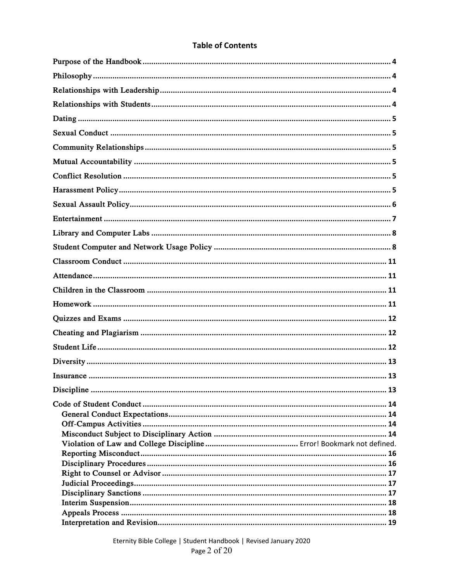# **Table of Contents**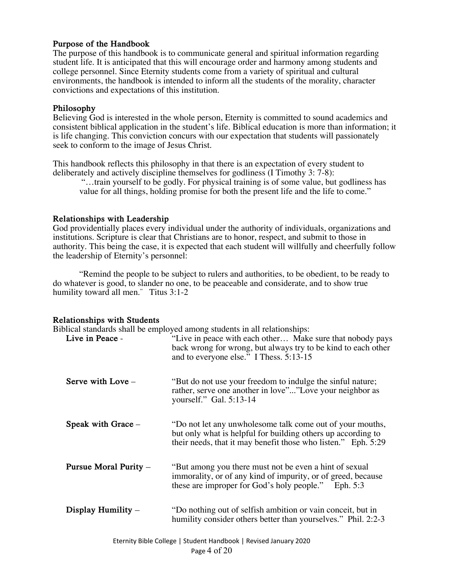### **Purpose of the Handbook**

The purpose of this handbook is to communicate general and spiritual information regarding student life. It is anticipated that this will encourage order and harmony among students and college personnel. Since Eternity students come from a variety of spiritual and cultural environments, the handbook is intended to inform all the students of the morality, character convictions and expectations of this institution.

#### **Philosophy**

Believing God is interested in the whole person, Eternity is committed to sound academics and consistent biblical application in the student's life. Biblical education is more than information; it is life changing. This conviction concurs with our expectation that students will passionately seek to conform to the image of Jesus Christ.

This handbook reflects this philosophy in that there is an expectation of every student to deliberately and actively discipline themselves for godliness (I Timothy 3: 7-8):

"…train yourself to be godly. For physical training is of some value, but godliness has value for all things, holding promise for both the present life and the life to come."

#### **Relationships with Leadership**

God providentially places every individual under the authority of individuals, organizations and institutions. Scripture is clear that Christians are to honor, respect, and submit to those in authority. This being the case, it is expected that each student will willfully and cheerfully follow the leadership of Eternity's personnel:

"Remind the people to be subject to rulers and authorities, to be obedient, to be ready to do whatever is good, to slander no one, to be peaceable and considerate, and to show true humility toward all men." Titus 3:1-2

#### **Relationships with Students**

Biblical standards shall be employed among students in all relationships:

| Live in Peace -       | $\epsilon$ and $\epsilon$ stations in an relationships.<br>"Live in peace with each other Make sure that nobody pays<br>back wrong for wrong, but always try to be kind to each other<br>and to everyone else." I Thess. 5:13-15 |
|-----------------------|----------------------------------------------------------------------------------------------------------------------------------------------------------------------------------------------------------------------------------|
| Serve with Love $-$   | "But do not use your freedom to indulge the sinful nature;<br>rather, serve one another in love""Love your neighbor as<br>yourself." Gal. 5:13-14                                                                                |
| Speak with Grace -    | "Do not let any unwholesome talk come out of your mouths,<br>but only what is helpful for building others up according to<br>their needs, that it may benefit those who listen." Eph. 5:29                                       |
| Pursue Moral Purity - | "But among you there must not be even a hint of sexual<br>immorality, or of any kind of impurity, or of greed, because<br>these are improper for God's holy people." Eph. 5:3                                                    |
| Display Humility $-$  | "Do nothing out of selfish ambition or vain conceit, but in<br>humility consider others better than yourselves." Phil. 2:2-3                                                                                                     |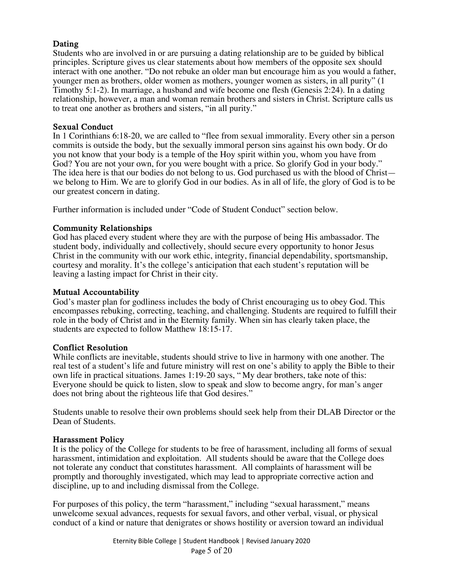# **Dating**

Students who are involved in or are pursuing a dating relationship are to be guided by biblical principles. Scripture gives us clear statements about how members of the opposite sex should interact with one another. "Do not rebuke an older man but encourage him as you would a father, younger men as brothers, older women as mothers, younger women as sisters, in all purity" (1 Timothy 5:1-2). In marriage, a husband and wife become one flesh (Genesis 2:24). In a dating relationship, however, a man and woman remain brothers and sisters in Christ. Scripture calls us to treat one another as brothers and sisters, "in all purity."

#### **Sexual Conduct**

In 1 Corinthians 6:18-20, we are called to "flee from sexual immorality. Every other sin a person commits is outside the body, but the sexually immoral person sins against his own body. Or do you not know that your body is a temple of the Hoy spirit within you, whom you have from God? You are not your own, for you were bought with a price. So glorify God in your body." The idea here is that our bodies do not belong to us. God purchased us with the blood of Christ we belong to Him. We are to glorify God in our bodies. As in all of life, the glory of God is to be our greatest concern in dating.

Further information is included under "Code of Student Conduct" section below.

#### **Community Relationships**

God has placed every student where they are with the purpose of being His ambassador. The student body, individually and collectively, should secure every opportunity to honor Jesus Christ in the community with our work ethic, integrity, financial dependability, sportsmanship, courtesy and morality. It's the college's anticipation that each student's reputation will be leaving a lasting impact for Christ in their city.

#### **Mutual Accountability**

God's master plan for godliness includes the body of Christ encouraging us to obey God. This encompasses rebuking, correcting, teaching, and challenging. Students are required to fulfill their role in the body of Christ and in the Eternity family. When sin has clearly taken place, the students are expected to follow Matthew 18:15-17.

#### **Conflict Resolution**

While conflicts are inevitable, students should strive to live in harmony with one another. The real test of a student's life and future ministry will rest on one's ability to apply the Bible to their own life in practical situations. James 1:19-20 says, " My dear brothers, take note of this: Everyone should be quick to listen, slow to speak and slow to become angry, for man's anger does not bring about the righteous life that God desires."

Students unable to resolve their own problems should seek help from their DLAB Director or the Dean of Students.

#### **Harassment Policy**

It is the policy of the College for students to be free of harassment, including all forms of sexual harassment, intimidation and exploitation. All students should be aware that the College does not tolerate any conduct that constitutes harassment. All complaints of harassment will be promptly and thoroughly investigated, which may lead to appropriate corrective action and discipline, up to and including dismissal from the College.

For purposes of this policy, the term "harassment," including "sexual harassment," means unwelcome sexual advances, requests for sexual favors, and other verbal, visual, or physical conduct of a kind or nature that denigrates or shows hostility or aversion toward an individual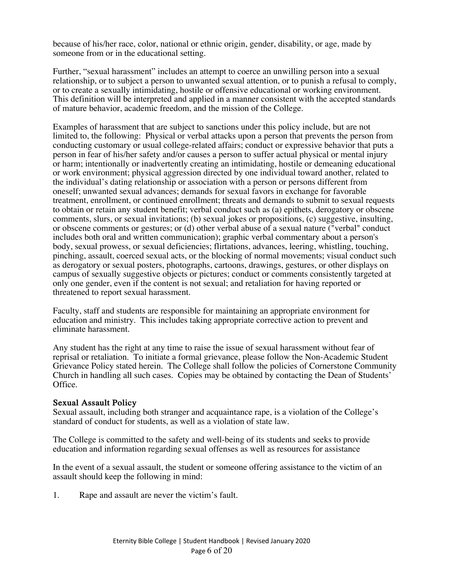because of his/her race, color, national or ethnic origin, gender, disability, or age, made by someone from or in the educational setting.

Further, "sexual harassment" includes an attempt to coerce an unwilling person into a sexual relationship, or to subject a person to unwanted sexual attention, or to punish a refusal to comply, or to create a sexually intimidating, hostile or offensive educational or working environment. This definition will be interpreted and applied in a manner consistent with the accepted standards of mature behavior, academic freedom, and the mission of the College.

Examples of harassment that are subject to sanctions under this policy include, but are not limited to, the following: Physical or verbal attacks upon a person that prevents the person from conducting customary or usual college-related affairs; conduct or expressive behavior that puts a person in fear of his/her safety and/or causes a person to suffer actual physical or mental injury or harm; intentionally or inadvertently creating an intimidating, hostile or demeaning educational or work environment; physical aggression directed by one individual toward another, related to the individual's dating relationship or association with a person or persons different from oneself; unwanted sexual advances; demands for sexual favors in exchange for favorable treatment, enrollment, or continued enrollment; threats and demands to submit to sexual requests to obtain or retain any student benefit; verbal conduct such as (a) epithets, derogatory or obscene comments, slurs, or sexual invitations; (b) sexual jokes or propositions, (c) suggestive, insulting, or obscene comments or gestures; or (d) other verbal abuse of a sexual nature ("verbal" conduct includes both oral and written communication); graphic verbal commentary about a person's body, sexual prowess, or sexual deficiencies; flirtations, advances, leering, whistling, touching, pinching, assault, coerced sexual acts, or the blocking of normal movements; visual conduct such as derogatory or sexual posters, photographs, cartoons, drawings, gestures, or other displays on campus of sexually suggestive objects or pictures; conduct or comments consistently targeted at only one gender, even if the content is not sexual; and retaliation for having reported or threatened to report sexual harassment.

Faculty, staff and students are responsible for maintaining an appropriate environment for education and ministry. This includes taking appropriate corrective action to prevent and eliminate harassment.

Any student has the right at any time to raise the issue of sexual harassment without fear of reprisal or retaliation. To initiate a formal grievance, please follow the Non-Academic Student Grievance Policy stated herein. The College shall follow the policies of Cornerstone Community Church in handling all such cases. Copies may be obtained by contacting the Dean of Students' Office.

#### **Sexual Assault Policy**

Sexual assault, including both stranger and acquaintance rape, is a violation of the College's standard of conduct for students, as well as a violation of state law.

The College is committed to the safety and well-being of its students and seeks to provide education and information regarding sexual offenses as well as resources for assistance

In the event of a sexual assault, the student or someone offering assistance to the victim of an assault should keep the following in mind:

1. Rape and assault are never the victim's fault.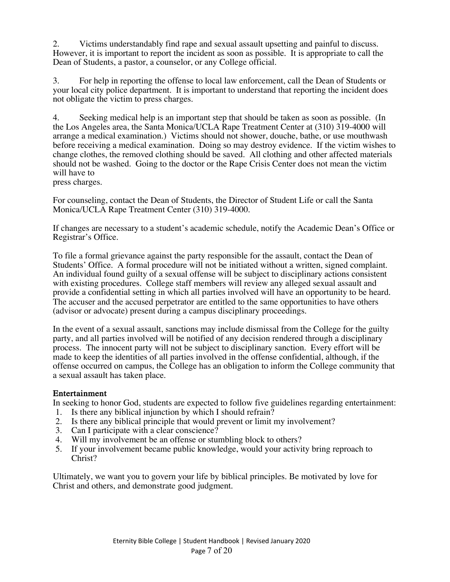2. Victims understandably find rape and sexual assault upsetting and painful to discuss. However, it is important to report the incident as soon as possible. It is appropriate to call the Dean of Students, a pastor, a counselor, or any College official.

3. For help in reporting the offense to local law enforcement, call the Dean of Students or your local city police department. It is important to understand that reporting the incident does not obligate the victim to press charges.

4. Seeking medical help is an important step that should be taken as soon as possible. (In the Los Angeles area, the Santa Monica/UCLA Rape Treatment Center at (310) 319-4000 will arrange a medical examination.) Victims should not shower, douche, bathe, or use mouthwash before receiving a medical examination. Doing so may destroy evidence. If the victim wishes to change clothes, the removed clothing should be saved. All clothing and other affected materials should not be washed. Going to the doctor or the Rape Crisis Center does not mean the victim will have to

press charges.

For counseling, contact the Dean of Students, the Director of Student Life or call the Santa Monica/UCLA Rape Treatment Center (310) 319-4000.

If changes are necessary to a student's academic schedule, notify the Academic Dean's Office or Registrar's Office.

To file a formal grievance against the party responsible for the assault, contact the Dean of Students' Office. A formal procedure will not be initiated without a written, signed complaint. An individual found guilty of a sexual offense will be subject to disciplinary actions consistent with existing procedures. College staff members will review any alleged sexual assault and provide a confidential setting in which all parties involved will have an opportunity to be heard. The accuser and the accused perpetrator are entitled to the same opportunities to have others (advisor or advocate) present during a campus disciplinary proceedings.

In the event of a sexual assault, sanctions may include dismissal from the College for the guilty party, and all parties involved will be notified of any decision rendered through a disciplinary process. The innocent party will not be subject to disciplinary sanction. Every effort will be made to keep the identities of all parties involved in the offense confidential, although, if the offense occurred on campus, the College has an obligation to inform the College community that a sexual assault has taken place.

#### **Entertainment**

In seeking to honor God, students are expected to follow five guidelines regarding entertainment:

- 1. Is there any biblical injunction by which I should refrain?
- 2. Is there any biblical principle that would prevent or limit my involvement?<br>3. Can I participate with a clear conscience?
- Can I participate with a clear conscience?
- 4. Will my involvement be an offense or stumbling block to others?
- 5. If your involvement became public knowledge, would your activity bring reproach to Christ?

Ultimately, we want you to govern your life by biblical principles. Be motivated by love for Christ and others, and demonstrate good judgment.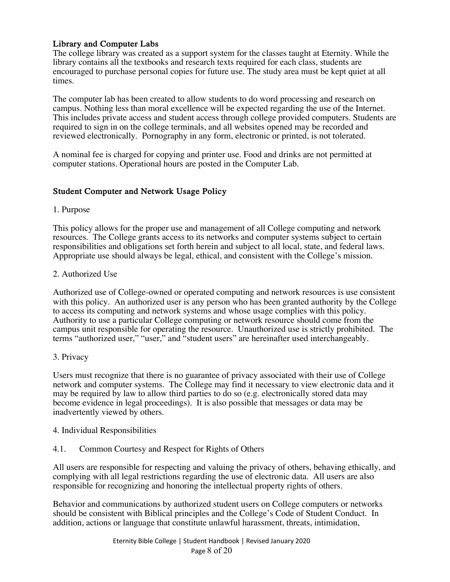# **Library and Computer Labs**

The college library was created as a support system for the classes taught at Eternity. While the library contains all the textbooks and research texts required for each class, students are encouraged to purchase personal copies for future use. The study area must be kept quiet at all times.

The computer lab has been created to allow students to do word processing and research on campus. Nothing less than moral excellence will be expected regarding the use of the Internet. This includes private access and student access through college provided computers. Students are required to sign in on the college terminals, and all websites opened may be recorded and reviewed electronically. Pornography in any form, electronic or printed, is not tolerated.

A nominal fee is charged for copying and printer use. Food and drinks are not permitted at computer stations. Operational hours are posted in the Computer Lab.

# **Student Computer and Network Usage Policy**

# 1. Purpose

This policy allows for the proper use and management of all College computing and network resources. The College grants access to its networks and computer systems subject to certain responsibilities and obligations set forth herein and subject to all local, state, and federal laws. Appropriate use should always be legal, ethical, and consistent with the College's mission.

# 2. Authorized Use

Authorized use of College-owned or operated computing and network resources is use consistent with this policy. An authorized user is any person who has been granted authority by the College to access its computing and network systems and whose usage complies with this policy. Authority to use a particular College computing or network resource should come from the campus unit responsible for operating the resource. Unauthorized use is strictly prohibited. The terms "authorized user," "user," and "student users" are hereinafter used interchangeably.

# 3. Privacy

Users must recognize that there is no guarantee of privacy associated with their use of College network and computer systems. The College may find it necessary to view electronic data and it may be required by law to allow third parties to do so (e.g. electronically stored data may become evidence in legal proceedings). It is also possible that messages or data may be inadvertently viewed by others.

# 4. Individual Responsibilities

4.1. Common Courtesy and Respect for Rights of Others

All users are responsible for respecting and valuing the privacy of others, behaving ethically, and complying with all legal restrictions regarding the use of electronic data. All users are also responsible for recognizing and honoring the intellectual property rights of others.

Behavior and communications by authorized student users on College computers or networks should be consistent with Biblical principles and the College's Code of Student Conduct. In addition, actions or language that constitute unlawful harassment, threats, intimidation,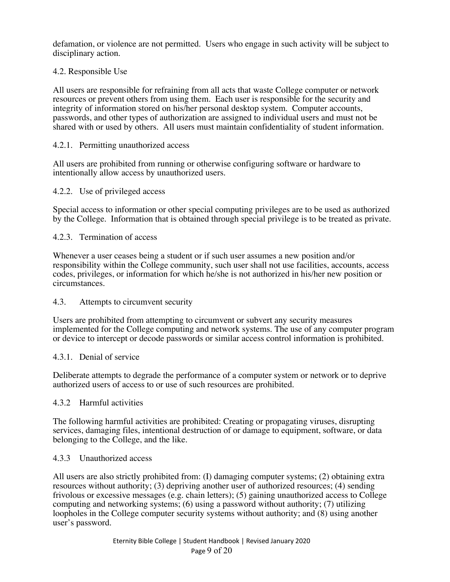defamation, or violence are not permitted. Users who engage in such activity will be subject to disciplinary action.

# 4.2. Responsible Use

All users are responsible for refraining from all acts that waste College computer or network resources or prevent others from using them. Each user is responsible for the security and integrity of information stored on his/her personal desktop system. Computer accounts, passwords, and other types of authorization are assigned to individual users and must not be shared with or used by others. All users must maintain confidentiality of student information.

# 4.2.1. Permitting unauthorized access

All users are prohibited from running or otherwise configuring software or hardware to intentionally allow access by unauthorized users.

#### 4.2.2. Use of privileged access

Special access to information or other special computing privileges are to be used as authorized by the College. Information that is obtained through special privilege is to be treated as private.

# 4.2.3. Termination of access

Whenever a user ceases being a student or if such user assumes a new position and/or responsibility within the College community, such user shall not use facilities, accounts, access codes, privileges, or information for which he/she is not authorized in his/her new position or circumstances.

#### 4.3. Attempts to circumvent security

Users are prohibited from attempting to circumvent or subvert any security measures implemented for the College computing and network systems. The use of any computer program or device to intercept or decode passwords or similar access control information is prohibited.

#### 4.3.1. Denial of service

Deliberate attempts to degrade the performance of a computer system or network or to deprive authorized users of access to or use of such resources are prohibited.

#### 4.3.2 Harmful activities

The following harmful activities are prohibited: Creating or propagating viruses, disrupting services, damaging files, intentional destruction of or damage to equipment, software, or data belonging to the College, and the like.

#### 4.3.3 Unauthorized access

All users are also strictly prohibited from: (I) damaging computer systems; (2) obtaining extra resources without authority; (3) depriving another user of authorized resources; (4) sending frivolous or excessive messages (e.g. chain letters); (5) gaining unauthorized access to College computing and networking systems; (6) using a password without authority; (7) utilizing loopholes in the College computer security systems without authority; and (8) using another user's password.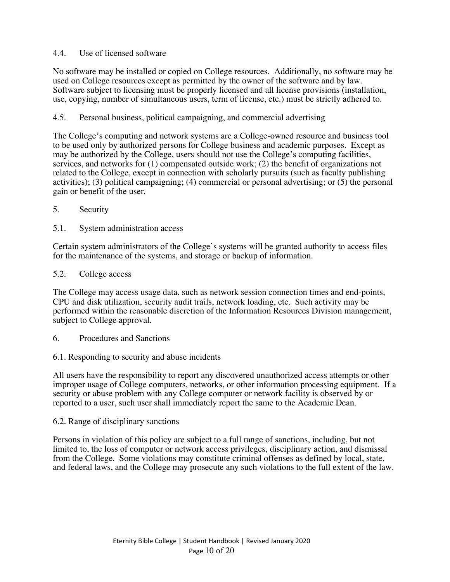# 4.4. Use of licensed software

No software may be installed or copied on College resources. Additionally, no software may be used on College resources except as permitted by the owner of the software and by law. Software subject to licensing must be properly licensed and all license provisions (installation, use, copying, number of simultaneous users, term of license, etc.) must be strictly adhered to.

# 4.5. Personal business, political campaigning, and commercial advertising

The College's computing and network systems are a College-owned resource and business tool to be used only by authorized persons for College business and academic purposes. Except as may be authorized by the College, users should not use the College's computing facilities, services, and networks for (1) compensated outside work; (2) the benefit of organizations not related to the College, except in connection with scholarly pursuits (such as faculty publishing activities); (3) political campaigning; (4) commercial or personal advertising; or (5) the personal gain or benefit of the user.

- 5. Security
- 5.1. System administration access

Certain system administrators of the College's systems will be granted authority to access files for the maintenance of the systems, and storage or backup of information.

#### 5.2. College access

The College may access usage data, such as network session connection times and end-points, CPU and disk utilization, security audit trails, network loading, etc. Such activity may be performed within the reasonable discretion of the Information Resources Division management, subject to College approval.

- 6. Procedures and Sanctions
- 6.1. Responding to security and abuse incidents

All users have the responsibility to report any discovered unauthorized access attempts or other improper usage of College computers, networks, or other information processing equipment. If a security or abuse problem with any College computer or network facility is observed by or reported to a user, such user shall immediately report the same to the Academic Dean.

#### 6.2. Range of disciplinary sanctions

Persons in violation of this policy are subject to a full range of sanctions, including, but not limited to, the loss of computer or network access privileges, disciplinary action, and dismissal from the College. Some violations may constitute criminal offenses as defined by local, state, and federal laws, and the College may prosecute any such violations to the full extent of the law.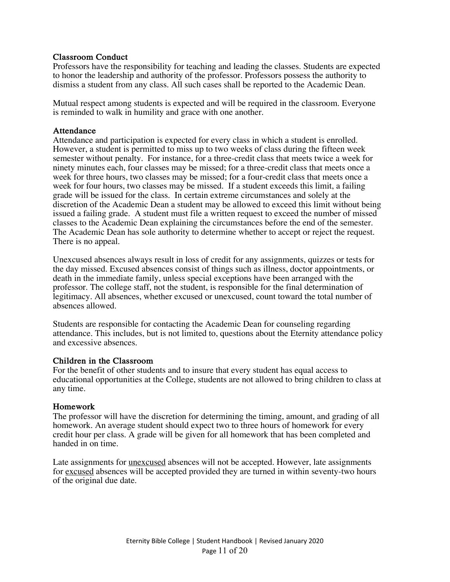#### **Classroom Conduct**

Professors have the responsibility for teaching and leading the classes. Students are expected to honor the leadership and authority of the professor. Professors possess the authority to dismiss a student from any class. All such cases shall be reported to the Academic Dean.

Mutual respect among students is expected and will be required in the classroom. Everyone is reminded to walk in humility and grace with one another.

#### **Attendance**

Attendance and participation is expected for every class in which a student is enrolled. However, a student is permitted to miss up to two weeks of class during the fifteen week semester without penalty. For instance, for a three-credit class that meets twice a week for ninety minutes each, four classes may be missed; for a three-credit class that meets once a week for three hours, two classes may be missed; for a four-credit class that meets once a week for four hours, two classes may be missed. If a student exceeds this limit, a failing grade will be issued for the class. In certain extreme circumstances and solely at the discretion of the Academic Dean a student may be allowed to exceed this limit without being issued a failing grade. A student must file a written request to exceed the number of missed classes to the Academic Dean explaining the circumstances before the end of the semester. The Academic Dean has sole authority to determine whether to accept or reject the request. There is no appeal.

Unexcused absences always result in loss of credit for any assignments, quizzes or tests for the day missed. Excused absences consist of things such as illness, doctor appointments, or death in the immediate family, unless special exceptions have been arranged with the professor. The college staff, not the student, is responsible for the final determination of legitimacy. All absences, whether excused or unexcused, count toward the total number of absences allowed.

Students are responsible for contacting the Academic Dean for counseling regarding attendance. This includes, but is not limited to, questions about the Eternity attendance policy and excessive absences.

#### **Children in the Classroom**

For the benefit of other students and to insure that every student has equal access to educational opportunities at the College, students are not allowed to bring children to class at any time.

#### **Homework**

The professor will have the discretion for determining the timing, amount, and grading of all homework. An average student should expect two to three hours of homework for every credit hour per class. A grade will be given for all homework that has been completed and handed in on time.

Late assignments for unexcused absences will not be accepted. However, late assignments for excused absences will be accepted provided they are turned in within seventy-two hours of the original due date.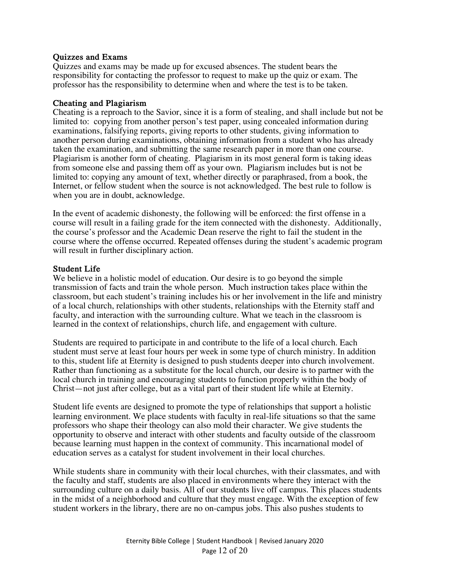#### **Quizzes and Exams**

Quizzes and exams may be made up for excused absences. The student bears the responsibility for contacting the professor to request to make up the quiz or exam. The professor has the responsibility to determine when and where the test is to be taken.

#### **Cheating and Plagiarism**

Cheating is a reproach to the Savior, since it is a form of stealing, and shall include but not be limited to: copying from another person's test paper, using concealed information during examinations, falsifying reports, giving reports to other students, giving information to another person during examinations, obtaining information from a student who has already taken the examination, and submitting the same research paper in more than one course. Plagiarism is another form of cheating. Plagiarism in its most general form is taking ideas from someone else and passing them off as your own. Plagiarism includes but is not be limited to: copying any amount of text, whether directly or paraphrased, from a book, the Internet, or fellow student when the source is not acknowledged. The best rule to follow is when you are in doubt, acknowledge.

In the event of academic dishonesty, the following will be enforced: the first offense in a course will result in a failing grade for the item connected with the dishonesty. Additionally, the course's professor and the Academic Dean reserve the right to fail the student in the course where the offense occurred. Repeated offenses during the student's academic program will result in further disciplinary action.

#### **Student Life**

We believe in a holistic model of education. Our desire is to go beyond the simple transmission of facts and train the whole person. Much instruction takes place within the classroom, but each student's training includes his or her involvement in the life and ministry of a local church, relationships with other students, relationships with the Eternity staff and faculty, and interaction with the surrounding culture. What we teach in the classroom is learned in the context of relationships, church life, and engagement with culture.

Students are required to participate in and contribute to the life of a local church. Each student must serve at least four hours per week in some type of church ministry. In addition to this, student life at Eternity is designed to push students deeper into church involvement. Rather than functioning as a substitute for the local church, our desire is to partner with the local church in training and encouraging students to function properly within the body of Christ—not just after college, but as a vital part of their student life while at Eternity.

Student life events are designed to promote the type of relationships that support a holistic learning environment. We place students with faculty in real-life situations so that the same professors who shape their theology can also mold their character. We give students the opportunity to observe and interact with other students and faculty outside of the classroom because learning must happen in the context of community. This incarnational model of education serves as a catalyst for student involvement in their local churches.

While students share in community with their local churches, with their classmates, and with the faculty and staff, students are also placed in environments where they interact with the surrounding culture on a daily basis. All of our students live off campus. This places students in the midst of a neighborhood and culture that they must engage. With the exception of few student workers in the library, there are no on-campus jobs. This also pushes students to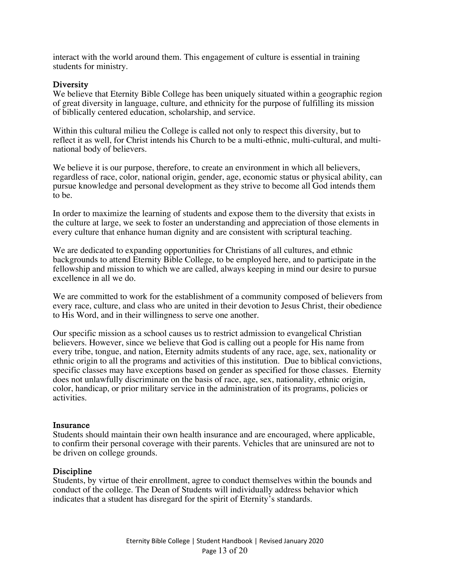interact with the world around them. This engagement of culture is essential in training students for ministry.

#### **Diversity**

We believe that Eternity Bible College has been uniquely situated within a geographic region of great diversity in language, culture, and ethnicity for the purpose of fulfilling its mission of biblically centered education, scholarship, and service.

Within this cultural milieu the College is called not only to respect this diversity, but to reflect it as well, for Christ intends his Church to be a multi-ethnic, multi-cultural, and multinational body of believers.

We believe it is our purpose, therefore, to create an environment in which all believers, regardless of race, color, national origin, gender, age, economic status or physical ability, can pursue knowledge and personal development as they strive to become all God intends them to be.

In order to maximize the learning of students and expose them to the diversity that exists in the culture at large, we seek to foster an understanding and appreciation of those elements in every culture that enhance human dignity and are consistent with scriptural teaching.

We are dedicated to expanding opportunities for Christians of all cultures, and ethnic backgrounds to attend Eternity Bible College, to be employed here, and to participate in the fellowship and mission to which we are called, always keeping in mind our desire to pursue excellence in all we do.

We are committed to work for the establishment of a community composed of believers from every race, culture, and class who are united in their devotion to Jesus Christ, their obedience to His Word, and in their willingness to serve one another.

Our specific mission as a school causes us to restrict admission to evangelical Christian believers. However, since we believe that God is calling out a people for His name from every tribe, tongue, and nation, Eternity admits students of any race, age, sex, nationality or ethnic origin to all the programs and activities of this institution. Due to biblical convictions, specific classes may have exceptions based on gender as specified for those classes. Eternity does not unlawfully discriminate on the basis of race, age, sex, nationality, ethnic origin, color, handicap, or prior military service in the administration of its programs, policies or activities.

#### **Insurance**

Students should maintain their own health insurance and are encouraged, where applicable, to confirm their personal coverage with their parents. Vehicles that are uninsured are not to be driven on college grounds.

#### **Discipline**

Students, by virtue of their enrollment, agree to conduct themselves within the bounds and conduct of the college. The Dean of Students will individually address behavior which indicates that a student has disregard for the spirit of Eternity's standards.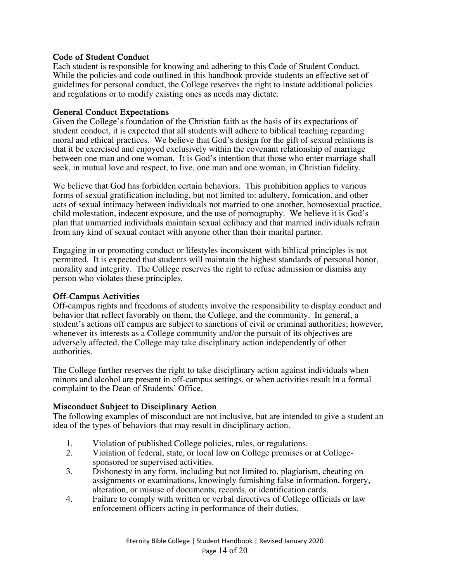# **Code of Student Conduct**

Each student is responsible for knowing and adhering to this Code of Student Conduct. While the policies and code outlined in this handbook provide students an effective set of guidelines for personal conduct, the College reserves the right to instate additional policies and regulations or to modify existing ones as needs may dictate.

#### **General Conduct Expectations**

Given the College's foundation of the Christian faith as the basis of its expectations of student conduct, it is expected that all students will adhere to biblical teaching regarding moral and ethical practices. We believe that God's design for the gift of sexual relations is that it be exercised and enjoyed exclusively within the covenant relationship of marriage between one man and one woman. It is God's intention that those who enter marriage shall seek, in mutual love and respect, to live, one man and one woman, in Christian fidelity.

We believe that God has forbidden certain behaviors. This prohibition applies to various forms of sexual gratification including, but not limited to: adultery, fornication, and other acts of sexual intimacy between individuals not married to one another, homosexual practice, child molestation, indecent exposure, and the use of pornography. We believe it is God's plan that unmarried individuals maintain sexual celibacy and that married individuals refrain from any kind of sexual contact with anyone other than their marital partner.

Engaging in or promoting conduct or lifestyles inconsistent with biblical principles is not permitted. It is expected that students will maintain the highest standards of personal honor, morality and integrity. The College reserves the right to refuse admission or dismiss any person who violates these principles.

#### **Off-Campus Activities**

Off-campus rights and freedoms of students involve the responsibility to display conduct and behavior that reflect favorably on them, the College, and the community. In general, a student's actions off campus are subject to sanctions of civil or criminal authorities; however, whenever its interests as a College community and/or the pursuit of its objectives are adversely affected, the College may take disciplinary action independently of other authorities.

The College further reserves the right to take disciplinary action against individuals when minors and alcohol are present in off-campus settings, or when activities result in a formal complaint to the Dean of Students' Office.

#### **Misconduct Subject to Disciplinary Action**

The following examples of misconduct are not inclusive, but are intended to give a student an idea of the types of behaviors that may result in disciplinary action.

- 1. Violation of published College policies, rules, or regulations.<br>2. Violation of federal, state, or local law on College premises o
- 2. Violation of federal, state, or local law on College premises or at Collegesponsored or supervised activities.
- 3. Dishonesty in any form, including but not limited to, plagiarism, cheating on assignments or examinations, knowingly furnishing false information, forgery, alteration, or misuse of documents, records, or identification cards.
- 4. Failure to comply with written or verbal directives of College officials or law enforcement officers acting in performance of their duties.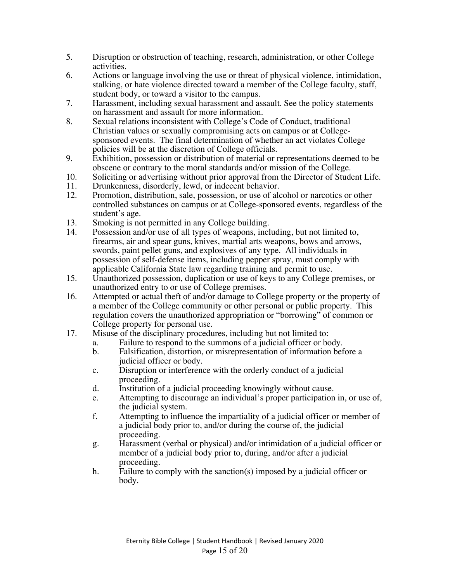- 5. Disruption or obstruction of teaching, research, administration, or other College activities.
- 6. Actions or language involving the use or threat of physical violence, intimidation, stalking, or hate violence directed toward a member of the College faculty, staff, student body, or toward a visitor to the campus.
- 7. Harassment, including sexual harassment and assault. See the policy statements on harassment and assault for more information.
- 8. Sexual relations inconsistent with College's Code of Conduct, traditional Christian values or sexually compromising acts on campus or at Collegesponsored events. The final determination of whether an act violates College policies will be at the discretion of College officials.
- 9. Exhibition, possession or distribution of material or representations deemed to be obscene or contrary to the moral standards and/or mission of the College.
- 10. Soliciting or advertising without prior approval from the Director of Student Life.
- 11. Drunkenness, disorderly, lewd, or indecent behavior.<br>12. Promotion, distribution, sale, possession, or use of alc
- 12. Promotion, distribution, sale, possession, or use of alcohol or narcotics or other controlled substances on campus or at College-sponsored events, regardless of the student's age.
- 13. Smoking is not permitted in any College building.<br>14. Possession and/or use of all types of weapons, incl
- Possession and/or use of all types of weapons, including, but not limited to, firearms, air and spear guns, knives, martial arts weapons, bows and arrows, swords, paint pellet guns, and explosives of any type. All individuals in possession of self-defense items, including pepper spray, must comply with applicable California State law regarding training and permit to use.
- 15. Unauthorized possession, duplication or use of keys to any College premises, or unauthorized entry to or use of College premises.
- 16. Attempted or actual theft of and/or damage to College property or the property of a member of the College community or other personal or public property. This regulation covers the unauthorized appropriation or "borrowing" of common or College property for personal use.
- 17. Misuse of the disciplinary procedures, including but not limited to:
	- a. Failure to respond to the summons of a judicial officer or body.
	- b. Falsification, distortion, or misrepresentation of information before a judicial officer or body.
	- c. Disruption or interference with the orderly conduct of a judicial proceeding.
	- d. Institution of a judicial proceeding knowingly without cause.
	- e. Attempting to discourage an individual's proper participation in, or use of, the judicial system.
	- f. Attempting to influence the impartiality of a judicial officer or member of a judicial body prior to, and/or during the course of, the judicial proceeding.
	- g. Harassment (verbal or physical) and/or intimidation of a judicial officer or member of a judicial body prior to, during, and/or after a judicial proceeding.
	- h. Failure to comply with the sanction(s) imposed by a judicial officer or body.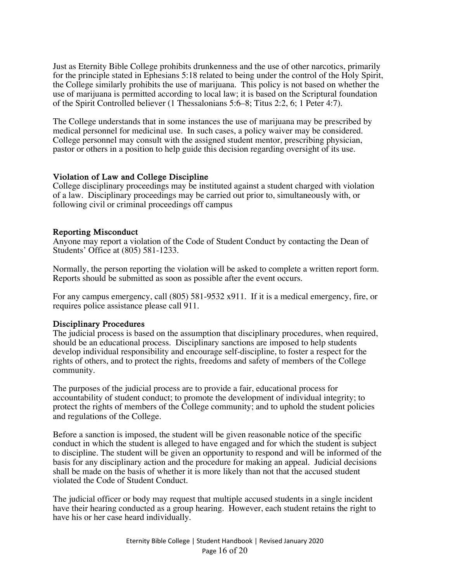Just as Eternity Bible College prohibits drunkenness and the use of other narcotics, primarily for the principle stated in Ephesians 5:18 related to being under the control of the Holy Spirit, the College similarly prohibits the use of marijuana. This policy is not based on whether the use of marijuana is permitted according to local law; it is based on the Scriptural foundation of the Spirit Controlled believer (1 Thessalonians 5:6–8; Titus 2:2, 6; 1 Peter 4:7).

The College understands that in some instances the use of marijuana may be prescribed by medical personnel for medicinal use. In such cases, a policy waiver may be considered. College personnel may consult with the assigned student mentor, prescribing physician, pastor or others in a position to help guide this decision regarding oversight of its use.

#### **Violation of Law and College Discipline**

College disciplinary proceedings may be instituted against a student charged with violation of a law. Disciplinary proceedings may be carried out prior to, simultaneously with, or following civil or criminal proceedings off campus

#### **Reporting Misconduct**

Anyone may report a violation of the Code of Student Conduct by contacting the Dean of Students' Office at (805) 581-1233.

Normally, the person reporting the violation will be asked to complete a written report form. Reports should be submitted as soon as possible after the event occurs.

For any campus emergency, call (805) 581-9532 x911. If it is a medical emergency, fire, or requires police assistance please call 911.

#### **Disciplinary Procedures**

The judicial process is based on the assumption that disciplinary procedures, when required, should be an educational process. Disciplinary sanctions are imposed to help students develop individual responsibility and encourage self-discipline, to foster a respect for the rights of others, and to protect the rights, freedoms and safety of members of the College community.

The purposes of the judicial process are to provide a fair, educational process for accountability of student conduct; to promote the development of individual integrity; to protect the rights of members of the College community; and to uphold the student policies and regulations of the College.

Before a sanction is imposed, the student will be given reasonable notice of the specific conduct in which the student is alleged to have engaged and for which the student is subject to discipline. The student will be given an opportunity to respond and will be informed of the basis for any disciplinary action and the procedure for making an appeal. Judicial decisions shall be made on the basis of whether it is more likely than not that the accused student violated the Code of Student Conduct.

The judicial officer or body may request that multiple accused students in a single incident have their hearing conducted as a group hearing. However, each student retains the right to have his or her case heard individually.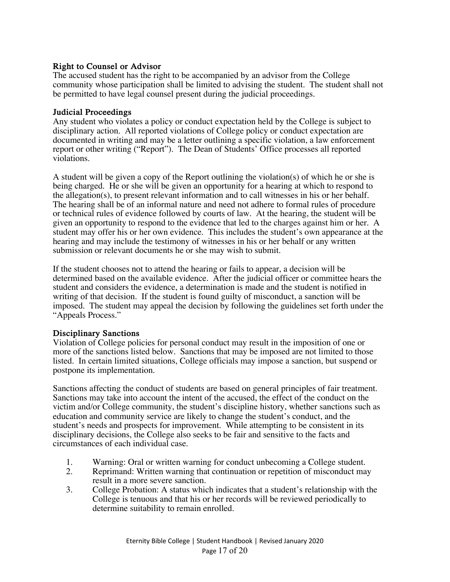# **Right to Counsel or Advisor**

The accused student has the right to be accompanied by an advisor from the College community whose participation shall be limited to advising the student. The student shall not be permitted to have legal counsel present during the judicial proceedings.

#### **Judicial Proceedings**

Any student who violates a policy or conduct expectation held by the College is subject to disciplinary action. All reported violations of College policy or conduct expectation are documented in writing and may be a letter outlining a specific violation, a law enforcement report or other writing ("Report"). The Dean of Students' Office processes all reported violations.

A student will be given a copy of the Report outlining the violation(s) of which he or she is being charged. He or she will be given an opportunity for a hearing at which to respond to the allegation(s), to present relevant information and to call witnesses in his or her behalf. The hearing shall be of an informal nature and need not adhere to formal rules of procedure or technical rules of evidence followed by courts of law. At the hearing, the student will be given an opportunity to respond to the evidence that led to the charges against him or her. A student may offer his or her own evidence. This includes the student's own appearance at the hearing and may include the testimony of witnesses in his or her behalf or any written submission or relevant documents he or she may wish to submit.

If the student chooses not to attend the hearing or fails to appear, a decision will be determined based on the available evidence. After the judicial officer or committee hears the student and considers the evidence, a determination is made and the student is notified in writing of that decision. If the student is found guilty of misconduct, a sanction will be imposed. The student may appeal the decision by following the guidelines set forth under the "Appeals Process."

# **Disciplinary Sanctions**

Violation of College policies for personal conduct may result in the imposition of one or more of the sanctions listed below. Sanctions that may be imposed are not limited to those listed. In certain limited situations, College officials may impose a sanction, but suspend or postpone its implementation.

Sanctions affecting the conduct of students are based on general principles of fair treatment. Sanctions may take into account the intent of the accused, the effect of the conduct on the victim and/or College community, the student's discipline history, whether sanctions such as education and community service are likely to change the student's conduct, and the student's needs and prospects for improvement. While attempting to be consistent in its disciplinary decisions, the College also seeks to be fair and sensitive to the facts and circumstances of each individual case.

- 1. Warning: Oral or written warning for conduct unbecoming a College student.
- 2. Reprimand: Written warning that continuation or repetition of misconduct may result in a more severe sanction.
- 3. College Probation: A status which indicates that a student's relationship with the College is tenuous and that his or her records will be reviewed periodically to determine suitability to remain enrolled.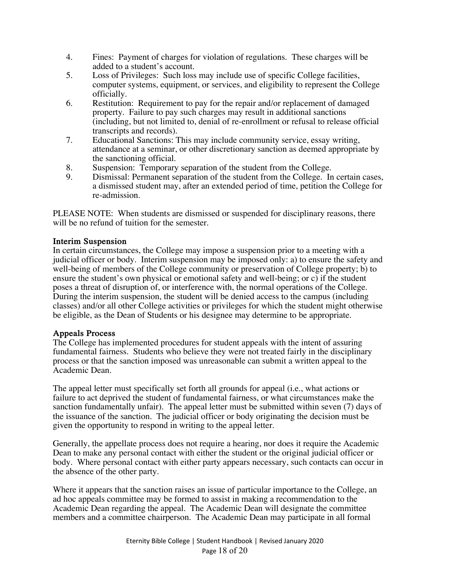- 4. Fines: Payment of charges for violation of regulations. These charges will be added to a student's account.
- 5. Loss of Privileges: Such loss may include use of specific College facilities, computer systems, equipment, or services, and eligibility to represent the College officially.
- 6. Restitution: Requirement to pay for the repair and/or replacement of damaged property. Failure to pay such charges may result in additional sanctions (including, but not limited to, denial of re-enrollment or refusal to release official transcripts and records).
- 7. Educational Sanctions: This may include community service, essay writing, attendance at a seminar, or other discretionary sanction as deemed appropriate by the sanctioning official.
- 8. Suspension: Temporary separation of the student from the College.
- 9. Dismissal: Permanent separation of the student from the College. In certain cases, a dismissed student may, after an extended period of time, petition the College for re-admission.

PLEASE NOTE: When students are dismissed or suspended for disciplinary reasons, there will be no refund of tuition for the semester.

# **Interim Suspension**

In certain circumstances, the College may impose a suspension prior to a meeting with a judicial officer or body. Interim suspension may be imposed only: a) to ensure the safety and well-being of members of the College community or preservation of College property; b) to ensure the student's own physical or emotional safety and well-being; or c) if the student poses a threat of disruption of, or interference with, the normal operations of the College. During the interim suspension, the student will be denied access to the campus (including classes) and/or all other College activities or privileges for which the student might otherwise be eligible, as the Dean of Students or his designee may determine to be appropriate.

#### **Appeals Process**

The College has implemented procedures for student appeals with the intent of assuring fundamental fairness. Students who believe they were not treated fairly in the disciplinary process or that the sanction imposed was unreasonable can submit a written appeal to the Academic Dean.

The appeal letter must specifically set forth all grounds for appeal (i.e., what actions or failure to act deprived the student of fundamental fairness, or what circumstances make the sanction fundamentally unfair). The appeal letter must be submitted within seven (7) days of the issuance of the sanction. The judicial officer or body originating the decision must be given the opportunity to respond in writing to the appeal letter.

Generally, the appellate process does not require a hearing, nor does it require the Academic Dean to make any personal contact with either the student or the original judicial officer or body. Where personal contact with either party appears necessary, such contacts can occur in the absence of the other party.

Where it appears that the sanction raises an issue of particular importance to the College, an ad hoc appeals committee may be formed to assist in making a recommendation to the Academic Dean regarding the appeal. The Academic Dean will designate the committee members and a committee chairperson. The Academic Dean may participate in all formal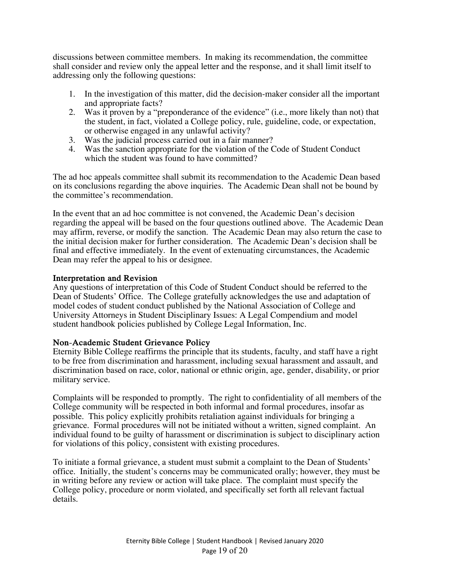discussions between committee members. In making its recommendation, the committee shall consider and review only the appeal letter and the response, and it shall limit itself to addressing only the following questions:

- 1. In the investigation of this matter, did the decision-maker consider all the important and appropriate facts?
- 2. Was it proven by a "preponderance of the evidence" (i.e., more likely than not) that the student, in fact, violated a College policy, rule, guideline, code, or expectation, or otherwise engaged in any unlawful activity?
- 3. Was the judicial process carried out in a fair manner?
- 4. Was the sanction appropriate for the violation of the Code of Student Conduct which the student was found to have committed?

The ad hoc appeals committee shall submit its recommendation to the Academic Dean based on its conclusions regarding the above inquiries. The Academic Dean shall not be bound by the committee's recommendation.

In the event that an ad hoc committee is not convened, the Academic Dean's decision regarding the appeal will be based on the four questions outlined above. The Academic Dean may affirm, reverse, or modify the sanction. The Academic Dean may also return the case to the initial decision maker for further consideration. The Academic Dean's decision shall be final and effective immediately. In the event of extenuating circumstances, the Academic Dean may refer the appeal to his or designee.

#### **Interpretation and Revision**

Any questions of interpretation of this Code of Student Conduct should be referred to the Dean of Students' Office. The College gratefully acknowledges the use and adaptation of model codes of student conduct published by the National Association of College and University Attorneys in Student Disciplinary Issues: A Legal Compendium and model student handbook policies published by College Legal Information, Inc.

#### **Non-Academic Student Grievance Policy**

Eternity Bible College reaffirms the principle that its students, faculty, and staff have a right to be free from discrimination and harassment, including sexual harassment and assault, and discrimination based on race, color, national or ethnic origin, age, gender, disability, or prior military service.

Complaints will be responded to promptly. The right to confidentiality of all members of the College community will be respected in both informal and formal procedures, insofar as possible. This policy explicitly prohibits retaliation against individuals for bringing a grievance. Formal procedures will not be initiated without a written, signed complaint. An individual found to be guilty of harassment or discrimination is subject to disciplinary action for violations of this policy, consistent with existing procedures.

To initiate a formal grievance, a student must submit a complaint to the Dean of Students' office. Initially, the student's concerns may be communicated orally; however, they must be in writing before any review or action will take place. The complaint must specify the College policy, procedure or norm violated, and specifically set forth all relevant factual details.